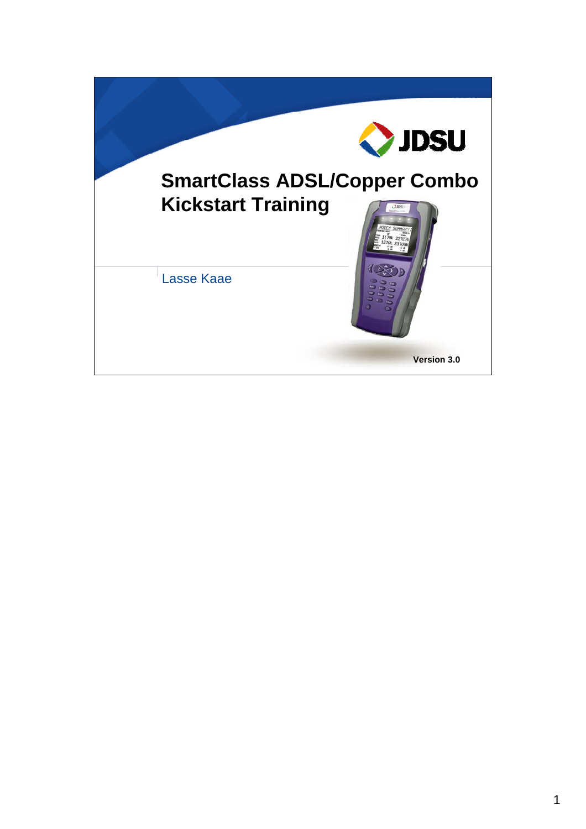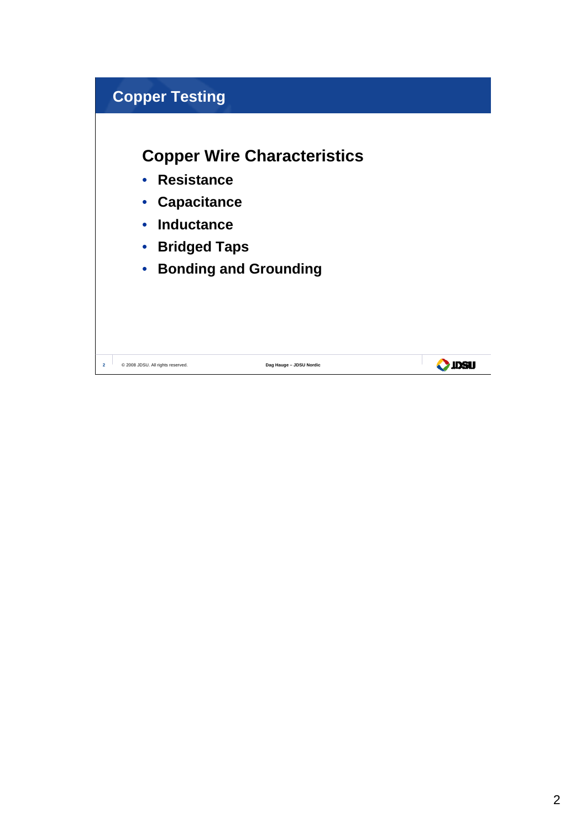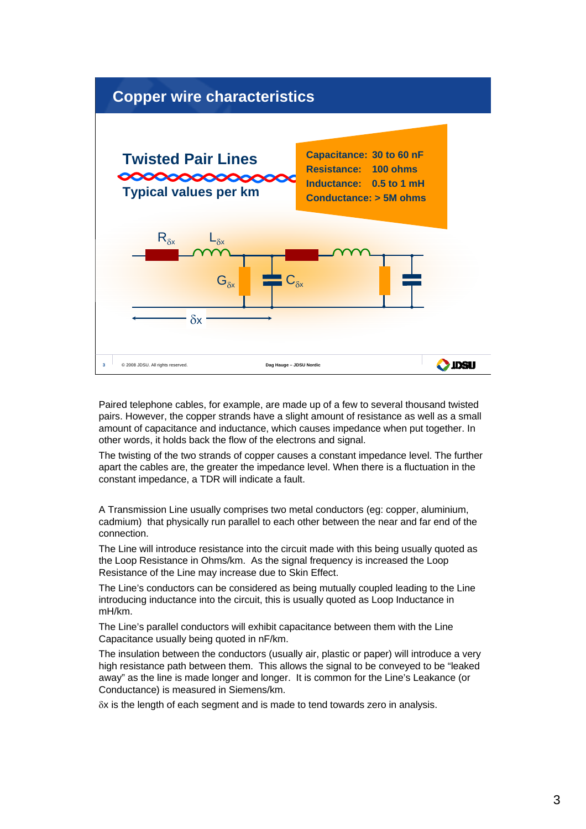

Paired telephone cables, for example, are made up of a few to several thousand twisted pairs. However, the copper strands have a slight amount of resistance as well as a small amount of capacitance and inductance, which causes impedance when put together. In other words, it holds back the flow of the electrons and signal.

The twisting of the two strands of copper causes a constant impedance level. The further apart the cables are, the greater the impedance level. When there is a fluctuation in the constant impedance, a TDR will indicate a fault.

A Transmission Line usually comprises two metal conductors (eg: copper, aluminium, cadmium) that physically run parallel to each other between the near and far end of the connection.

The Line will introduce resistance into the circuit made with this being usually quoted as the Loop Resistance in Ohms/km. As the signal frequency is increased the Loop Resistance of the Line may increase due to Skin Effect.

The Line's conductors can be considered as being mutually coupled leading to the Line introducing inductance into the circuit, this is usually quoted as Loop Inductance in mH/km.

The Line's parallel conductors will exhibit capacitance between them with the Line Capacitance usually being quoted in nF/km.

The insulation between the conductors (usually air, plastic or paper) will introduce a very high resistance path between them. This allows the signal to be conveyed to be "leaked away" as the line is made longer and longer. It is common for the Line's Leakance (or Conductance) is measured in Siemens/km.

δx is the length of each segment and is made to tend towards zero in analysis.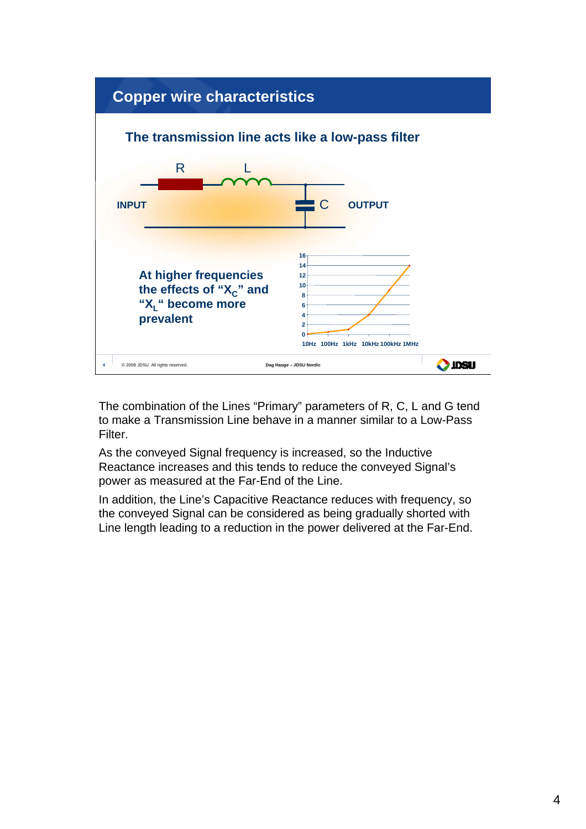

The combination of the Lines "Primary" parameters of R, C, L and G tend to make a Transmission Line behave in a manner similar to a Low-Pass Filter.

As the conveyed Signal frequency is increased, so the Inductive Reactance increases and this tends to reduce the conveyed Signal's power as measured at the Far-End of the Line.

In addition, the Line's Capacitive Reactance reduces with frequency, so the conveyed Signal can be considered as being gradually shorted with Line length leading to a reduction in the power delivered at the Far-End.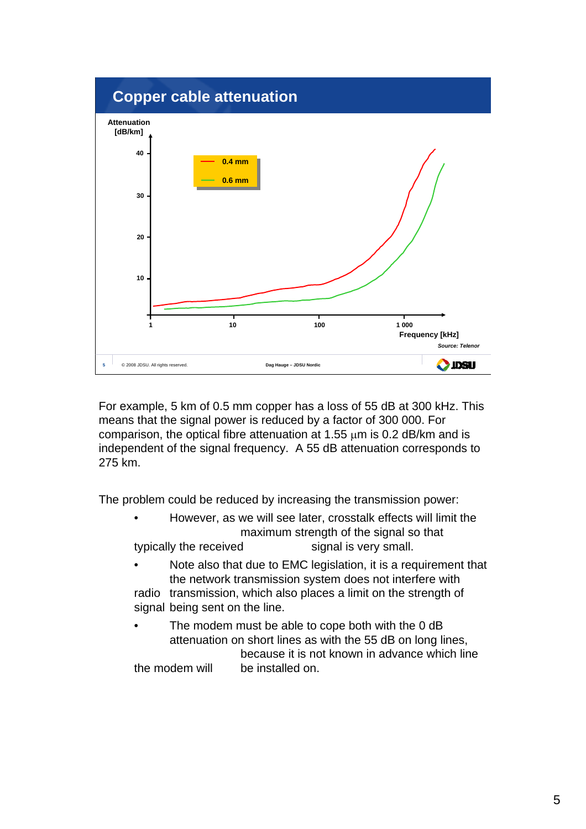

For example, 5 km of 0.5 mm copper has a loss of 55 dB at 300 kHz. This means that the signal power is reduced by a factor of 300 000. For comparison, the optical fibre attenuation at 1.55  $\mu$ m is 0.2 dB/km and is independent of the signal frequency. A 55 dB attenuation corresponds to 275 km.

The problem could be reduced by increasing the transmission power:

- However, as we will see later, crosstalk effects will limit the maximum strength of the signal so that typically the received signal is very small.
- Note also that due to EMC legislation, it is a requirement that the network transmission system does not interfere with radio transmission, which also places a limit on the strength of signal being sent on the line.
- The modem must be able to cope both with the 0 dB attenuation on short lines as with the 55 dB on long lines, because it is not known in advance which line the modem will be installed on.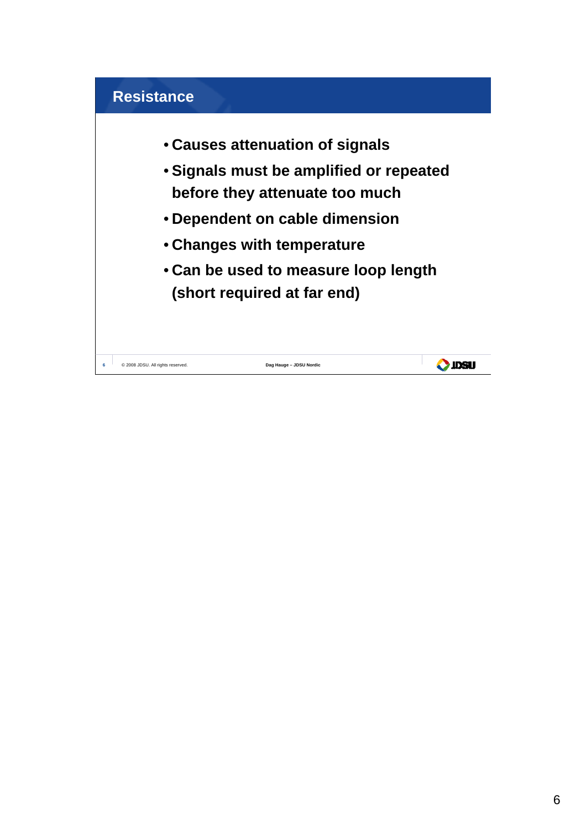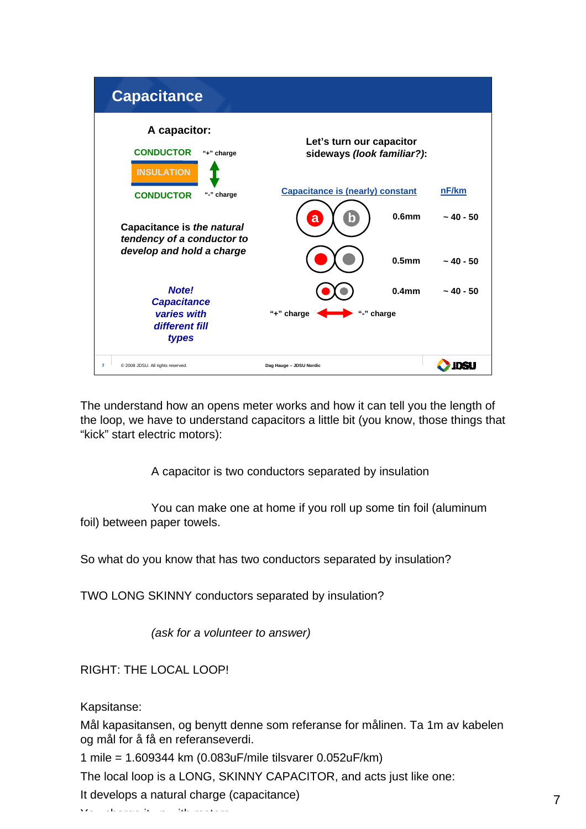

The understand how an opens meter works and how it can tell you the length of the loop, we have to understand capacitors a little bit (you know, those things that "kick" start electric motors):

A capacitor is two conductors separated by insulation

You can make one at home if you roll up some tin foil (aluminum foil) between paper towels.

So what do you know that has two conductors separated by insulation?

TWO LONG SKINNY conductors separated by insulation?

*(ask for a volunteer to answer)*

RIGHT: THE LOCAL LOOP!

Kapsitanse:

Mål kapasitansen, og benytt denne som referanse for målinen. Ta 1m av kabelen og mål for å få en referanseverdi.

1 mile = 1.609344 km (0.083uF/mile tilsvarer 0.052uF/km)

The local loop is a LONG, SKINNY CAPACITOR, and acts just like one:

It develops a natural charge (capacitance)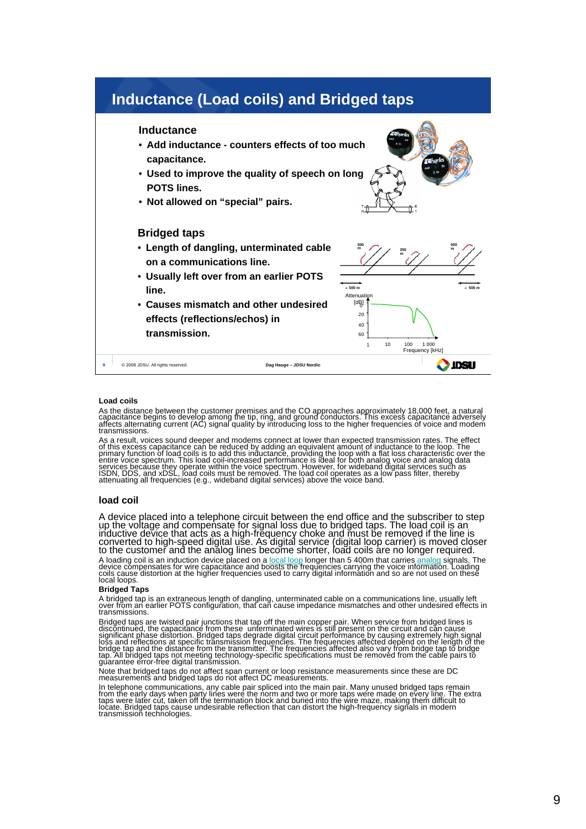

## **Load coils**

As the distance between the customer premises and the CO approaches approximately 18,000 feet, a natural<br>capacitance begins to develop among the tip, ring, and ground conductors. This excess capacitance adversely<br>affects a transmissions.

As a result, voices sound deeper and modems connect at lower than expected transmission rates. The effect<br>of this excess capacitance can be reduced by adding an equivalent amount of inductance to the loop. The<br>primary func entire voice spectrum. This load coil-increased performance is ideal for both analog voice and analog data<br>services because they operate within the voice spectrum. However, for wideband digital services such as<br>ISDN, DDS,

## **load coil**

A device placed into a telephone circuit between the end office and the subscriber to step<br>up the voltage and compensate for signal loss due to bridged taps. The load coil is an inductive device that acts as a high-frequency choke and must be removed if the line is converted to high-speed digital use. As digital service (digital loop carrier) is moved closer to the customer and the analog lines become shorter, load coils are no longer required.

A loading coil is an induction device placed on a <u>local loop</u> longer than 5 400m that carries <u>analog</u> signals. The<br>device compensates for wire capacitance and boosts the frequencies carrying the voice information. Loadin

## **Bridged Taps**

A bridged tap is an extraneous length of dangling, unterminated cable on a communications line, usually left over from an earlier POTS configuration, that can cause impedance mismatches and other undesired effects in transmissions.

Bridged taps are twisted pair junctions that tap off the main copper pair. When service from bridged lines is<br>discontinued, the capacitance from these unterminated wires is still present on the circuit and can cause<br>dispir

Note that bridged taps do not affect span current or loop resistance measurements since these are DC measurements and bridged taps do not affect DC measurements.

In telephone communications, any cable pair spliced into the main pair. Many unused bridged taps remain<br>from the early days when party lines were the norm and two or more taps were made on every line. The extra<br>taps were l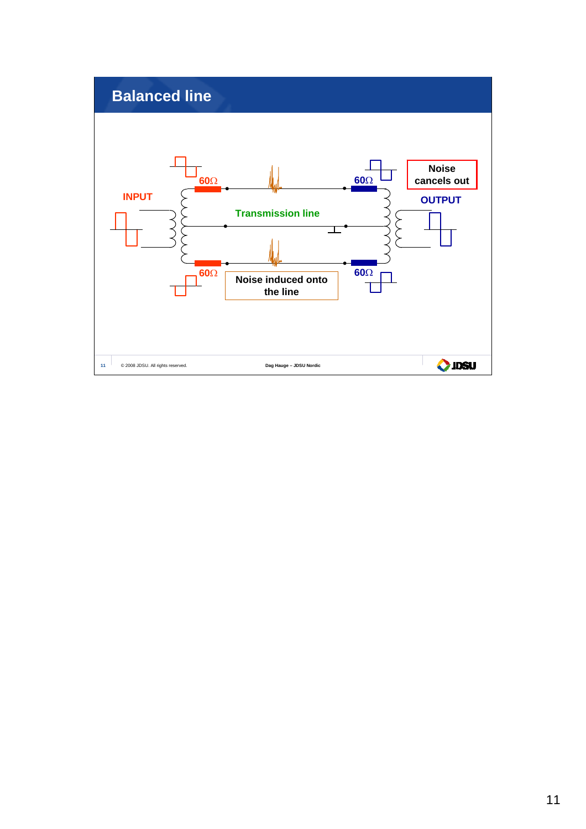